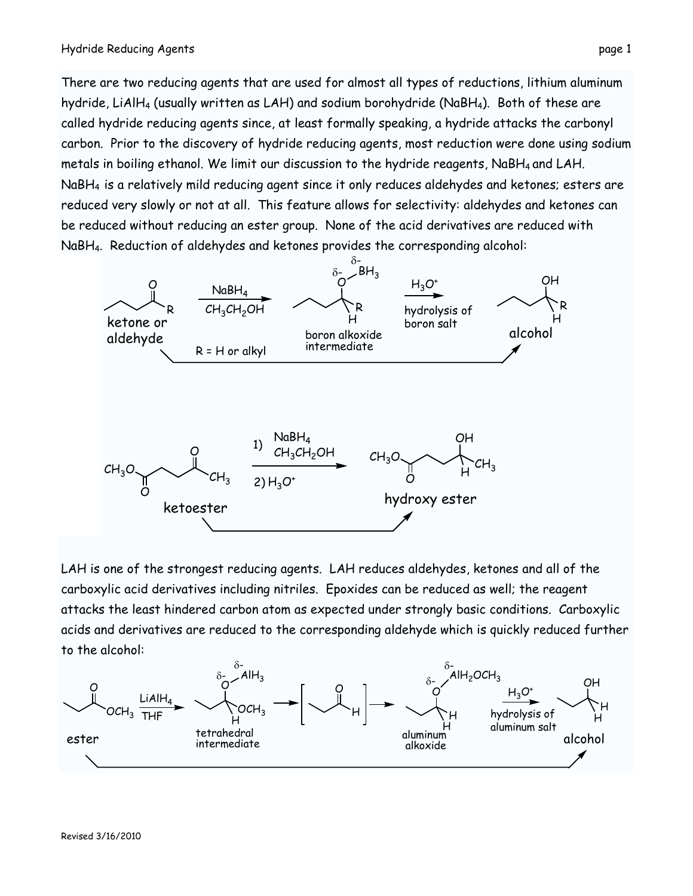There are two reducing agents that are used for almost all types of reductions, lithium aluminum hydride, LiAlH<sub>4</sub> (usually written as LAH) and sodium borohydride (NaBH<sub>4</sub>). Both of these are called hydride reducing agents since, at least formally speaking, a hydride attacks the carbonyl carbon. Prior to the discovery of hydride reducing agents, most reduction were done using sodium metals in boiling ethanol. We limit our discussion to the hydride reagents, NaBH4 and LAH. NaBH4 is a relatively mild reducing agent since it only reduces aldehydes and ketones; esters are reduced very slowly or not at all. This feature allows for selectivity: aldehydes and ketones can be reduced without reducing an ester group. None of the acid derivatives are reduced with NaBH4. Reduction of aldehydes and ketones provides the corresponding alcohol:



LAH is one of the strongest reducing agents. LAH reduces aldehydes, ketones and all of the carboxylic acid derivatives including nitriles. Epoxides can be reduced as well; the reagent attacks the least hindered carbon atom as expected under strongly basic conditions. Carboxylic acids and derivatives are reduced to the corresponding aldehyde which is quickly reduced further to the alcohol: